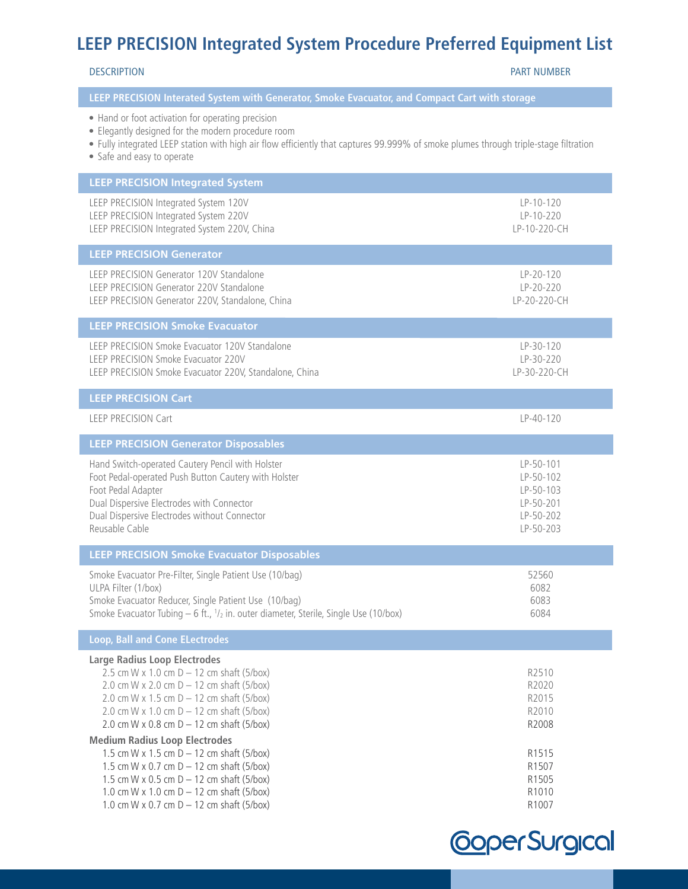# **LEEP PRECISION Integrated System Procedure Preferred Equipment List**

DESCRIPTION PART NUMBER

### **LEEP PRECISION Interated System with Generator, Smoke Evacuator, and Compact Cart with storage**

- Hand or foot activation for operating precision
- Elegantly designed for the modern procedure room
- Fully integrated LEEP station with high air flow efficiently that captures 99.999% of smoke plumes through triple-stage filtration
- Safe and easy to operate

| <b>LEEP PRECISION Integrated System</b>                                                                                                                                                                                                                                                                                                                                                                                                                                                                                                                           |                                                                                        |
|-------------------------------------------------------------------------------------------------------------------------------------------------------------------------------------------------------------------------------------------------------------------------------------------------------------------------------------------------------------------------------------------------------------------------------------------------------------------------------------------------------------------------------------------------------------------|----------------------------------------------------------------------------------------|
| LEEP PRECISION Integrated System 120V<br>LEEP PRECISION Integrated System 220V<br>LEEP PRECISION Integrated System 220V, China                                                                                                                                                                                                                                                                                                                                                                                                                                    | $LP-10-120$<br>LP-10-220<br>LP-10-220-CH                                               |
| <b>LEEP PRECISION Generator</b>                                                                                                                                                                                                                                                                                                                                                                                                                                                                                                                                   |                                                                                        |
| LEEP PRECISION Generator 120V Standalone<br>LEEP PRECISION Generator 220V Standalone<br>LEEP PRECISION Generator 220V, Standalone, China                                                                                                                                                                                                                                                                                                                                                                                                                          | LP-20-120<br>LP-20-220<br>LP-20-220-CH                                                 |
| <b>LEEP PRECISION Smoke Evacuator</b>                                                                                                                                                                                                                                                                                                                                                                                                                                                                                                                             |                                                                                        |
| LEEP PRECISION Smoke Evacuator 120V Standalone<br>LEEP PRECISION Smoke Evacuator 220V<br>LEEP PRECISION Smoke Evacuator 220V, Standalone, China                                                                                                                                                                                                                                                                                                                                                                                                                   | LP-30-120<br>LP-30-220<br>LP-30-220-CH                                                 |
| <b>LEEP PRECISION Cart</b>                                                                                                                                                                                                                                                                                                                                                                                                                                                                                                                                        |                                                                                        |
| <b>LEEP PRECISION Cart</b>                                                                                                                                                                                                                                                                                                                                                                                                                                                                                                                                        | LP-40-120                                                                              |
| <b>LEEP PRECISION Generator Disposables</b>                                                                                                                                                                                                                                                                                                                                                                                                                                                                                                                       |                                                                                        |
| Hand Switch-operated Cautery Pencil with Holster<br>Foot Pedal-operated Push Button Cautery with Holster<br>Foot Pedal Adapter<br>Dual Dispersive Electrodes with Connector<br>Dual Dispersive Electrodes without Connector<br>Reusable Cable                                                                                                                                                                                                                                                                                                                     | LP-50-101<br>LP-50-102<br>LP-50-103<br>LP-50-201<br>LP-50-202<br>LP-50-203             |
| <b>LEEP PRECISION Smoke Evacuator Disposables</b>                                                                                                                                                                                                                                                                                                                                                                                                                                                                                                                 |                                                                                        |
| Smoke Evacuator Pre-Filter, Single Patient Use (10/bag)<br>ULPA Filter (1/box)<br>Smoke Evacuator Reducer, Single Patient Use (10/bag)<br>Smoke Evacuator Tubing $-6$ ft., $1/2$ in. outer diameter, Sterile, Single Use (10/box)                                                                                                                                                                                                                                                                                                                                 | 52560<br>6082<br>6083<br>6084                                                          |
| <b>Loop, Ball and Cone ELectrodes</b>                                                                                                                                                                                                                                                                                                                                                                                                                                                                                                                             |                                                                                        |
| <b>Large Radius Loop Electrodes</b><br>2.5 cm W x 1.0 cm $D - 12$ cm shaft (5/box)<br>2.0 cm W x 2.0 cm $D - 12$ cm shaft (5/box)<br>2.0 cm W x 1.5 cm $D - 12$ cm shaft (5/box)<br>2.0 cm W x 1.0 cm $D - 12$ cm shaft (5/box)<br>2.0 cm W x 0.8 cm $D - 12$ cm shaft (5/box)<br><b>Medium Radius Loop Electrodes</b><br>1.5 cm W x 1.5 cm $D - 12$ cm shaft (5/box)<br>1.5 cm W x 0.7 cm $D - 12$ cm shaft (5/box)<br>1.5 cm W x 0.5 cm $D - 12$ cm shaft (5/box)<br>1.0 cm W x 1.0 cm $D - 12$ cm shaft (5/box)<br>1.0 cm W x 0.7 cm $D - 12$ cm shaft (5/box) | R2510<br>R2020<br>R2015<br>R2010<br>R2008<br>R1515<br>R1507<br>R1505<br>R1010<br>R1007 |